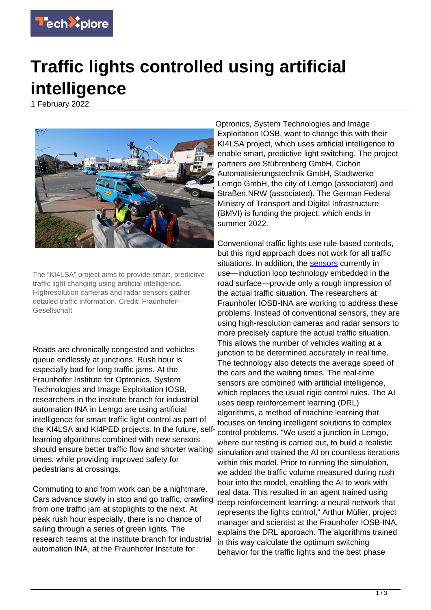

## **Traffic lights controlled using artificial intelligence**

1 February 2022



The "KI4LSA" project aims to provide smart, predictive traffic light changing using artificial intelligence. Highresolution cameras and radar sensors gather detailed traffic information. Credit: Fraunhofer-Gesellschaft

Roads are chronically congested and vehicles queue endlessly at junctions. Rush hour is especially bad for long traffic jams. At the Fraunhofer Institute for Optronics, System Technologies and Image Exploitation IOSB, researchers in the institute branch for industrial automation INA in Lemgo are using artificial intelligence for smart traffic light control as part of the KI4LSA and KI4PED projects. In the future, selflearning algorithms combined with new sensors should ensure better traffic flow and shorter waiting times, while providing improved safety for pedestrians at crossings.

Commuting to and from work can be a nightmare. Cars advance slowly in stop and go traffic, crawling from one traffic jam at stoplights to the next. At peak rush hour especially, there is no chance of sailing through a series of green lights. The research teams at the institute branch for industrial automation INA, at the Fraunhofer Institute for

Optronics, System Technologies and Image Exploitation IOSB, want to change this with their KI4LSA project, which uses artificial intelligence to enable smart, predictive light switching. The project partners are Stührenberg GmbH, Cichon Automatisierungstechnik GmbH, Stadtwerke Lemgo GmbH, the city of Lemgo (associated) and Straßen.NRW (associated). The German Federal Ministry of Transport and Digital Infrastructure (BMVI) is funding the project, which ends in summer 2022.

Conventional traffic lights use rule-based controls, but this rigid approach does not work for all traffic situations. In addition, the [sensors](https://techxplore.com/tags/sensors/) currently in use—induction loop technology embedded in the road surface—provide only a rough impression of the actual traffic situation. The researchers at Fraunhofer IOSB-INA are working to address these problems. Instead of conventional sensors, they are using high-resolution cameras and radar sensors to more precisely capture the actual traffic situation. This allows the number of vehicles waiting at a junction to be determined accurately in real time. The technology also detects the average speed of the cars and the waiting times. The real-time sensors are combined with artificial intelligence, which replaces the usual rigid control rules. The AI uses deep reinforcement learning (DRL) algorithms, a method of machine learning that focuses on finding intelligent solutions to complex control problems. "We used a junction in Lemgo, where our testing is carried out, to build a realistic simulation and trained the AI on countless iterations within this model. Prior to running the simulation, we added the traffic volume measured during rush hour into the model, enabling the AI to work with real data. This resulted in an agent trained using deep reinforcement learning: a neural network that represents the lights control," Arthur Müller, project manager and scientist at the Fraunhofer IOSB-INA, explains the DRL approach. The algorithms trained in this way calculate the optimum switching behavior for the traffic lights and the best phase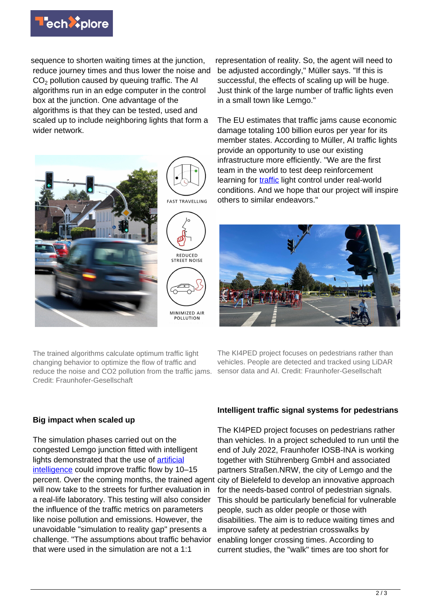

sequence to shorten waiting times at the junction. reduce journey times and thus lower the noise and  $CO<sub>2</sub>$  pollution caused by queuing traffic. The AI algorithms run in an edge computer in the control box at the junction. One advantage of the algorithms is that they can be tested, used and scaled up to include neighboring lights that form a wider network.



The trained algorithms calculate optimum traffic light changing behavior to optimize the flow of traffic and reduce the noise and CO2 pollution from the traffic jams. Credit: Fraunhofer-Gesellschaft

representation of reality. So, the agent will need to be adjusted accordingly," Müller says. "If this is successful, the effects of scaling up will be huge. Just think of the large number of traffic lights even in a small town like Lemgo."

The EU estimates that traffic jams cause economic damage totaling 100 billion euros per year for its member states. According to Müller, AI traffic lights provide an opportunity to use our existing infrastructure more efficiently. "We are the first team in the world to test deep reinforcement learning for **[traffic](https://techxplore.com/tags/traffic/)** light control under real-world conditions. And we hope that our project will inspire others to similar endeavors."



The KI4PED project focuses on pedestrians rather than vehicles. People are detected and tracked using LiDAR sensor data and AI. Credit: Fraunhofer-Gesellschaft

## **Big impact when scaled up**

The simulation phases carried out on the congested Lemgo junction fitted with intelligent lights demonstrated that the use of **artificial** [intelligence](https://techxplore.com/tags/artificial+intelligence/) could improve traffic flow by 10–15 percent. Over the coming months, the trained agent city of Bielefeld to develop an innovative approach will now take to the streets for further evaluation in a real-life laboratory. This testing will also consider the influence of the traffic metrics on parameters like noise pollution and emissions. However, the unavoidable "simulation to reality gap" presents a challenge. "The assumptions about traffic behavior that were used in the simulation are not a 1:1

## **Intelligent traffic signal systems for pedestrians**

The KI4PED project focuses on pedestrians rather than vehicles. In a project scheduled to run until the end of July 2022, Fraunhofer IOSB-INA is working together with Stührenberg GmbH and associated partners Straßen.NRW, the city of Lemgo and the for the needs-based control of pedestrian signals. This should be particularly beneficial for vulnerable people, such as older people or those with disabilities. The aim is to reduce waiting times and improve safety at pedestrian crosswalks by enabling longer crossing times. According to current studies, the "walk" times are too short for